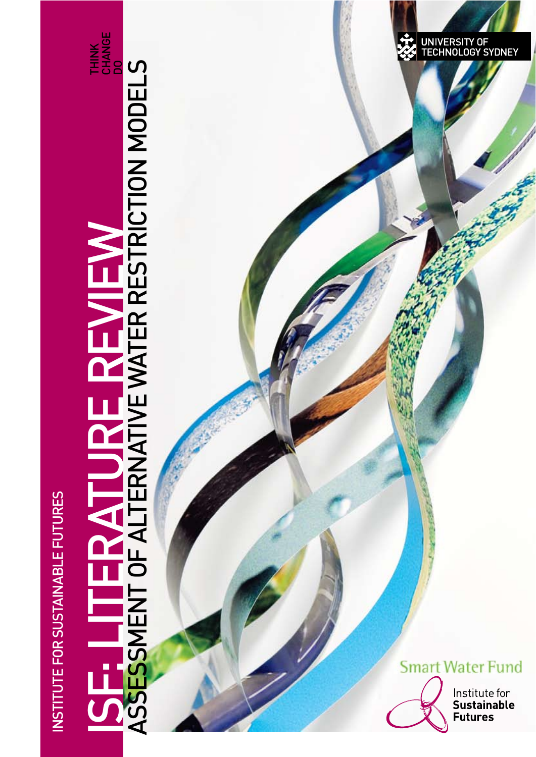**INSTITUTE FOR SUSTAINABLE FUTURES** NSTITUTE FOR SUSTAINABLE FUTURES

# SE: LITERATURE REVIEW ASSESSMENT OF ALTERNATIVE WATER RESTRICTION MODELS

THINK<br>CHANGE<br>DO

UNIVERSITY OF<br>TECHNOLOGY SYDNEY



Institute for<br>Sustainable **Futures**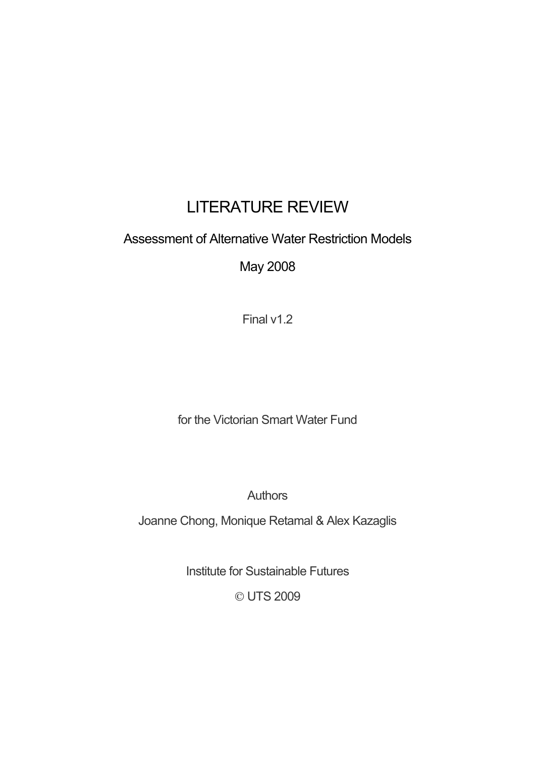# LITERATURE REVIEW

# Assessment of Alternative Water Restriction Models

May 2008

Final v1.2

for the Victorian Smart Water Fund

Authors

Joanne Chong, Monique Retamal & Alex Kazaglis

Institute for Sustainable Futures

© UTS 2009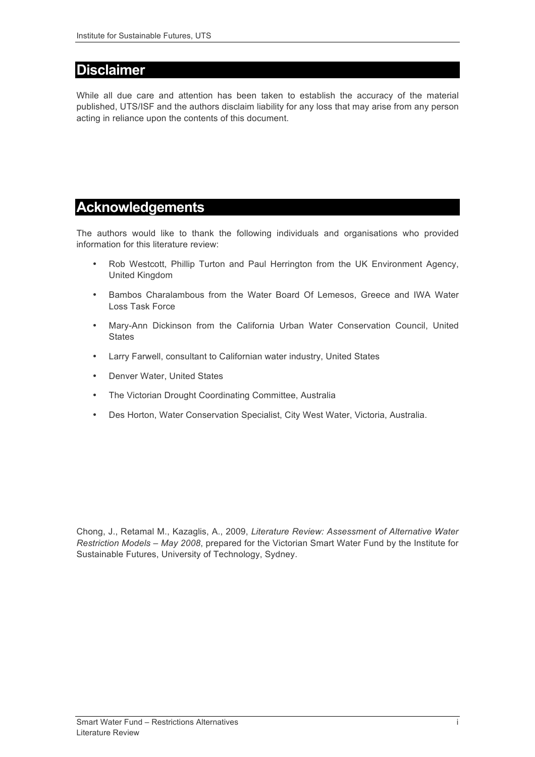## **Disclaimer**

While all due care and attention has been taken to establish the accuracy of the material published, UTS/ISF and the authors disclaim liability for any loss that may arise from any person acting in reliance upon the contents of this document.

## **Acknowledgements**

The authors would like to thank the following individuals and organisations who provided information for this literature review:

- Rob Westcott, Phillip Turton and Paul Herrington from the UK Environment Agency, United Kingdom
- Bambos Charalambous from the Water Board Of Lemesos, Greece and IWA Water Loss Task Force
- Mary-Ann Dickinson from the California Urban Water Conservation Council, United **States**
- Larry Farwell, consultant to Californian water industry, United States
- Denver Water, United States
- The Victorian Drought Coordinating Committee, Australia
- Des Horton, Water Conservation Specialist, City West Water, Victoria, Australia.

Chong, J., Retamal M., Kazaglis, A., 2009, *Literature Review: Assessment of Alternative Water Restriction Models – May 2008*, prepared for the Victorian Smart Water Fund by the Institute for Sustainable Futures, University of Technology, Sydney.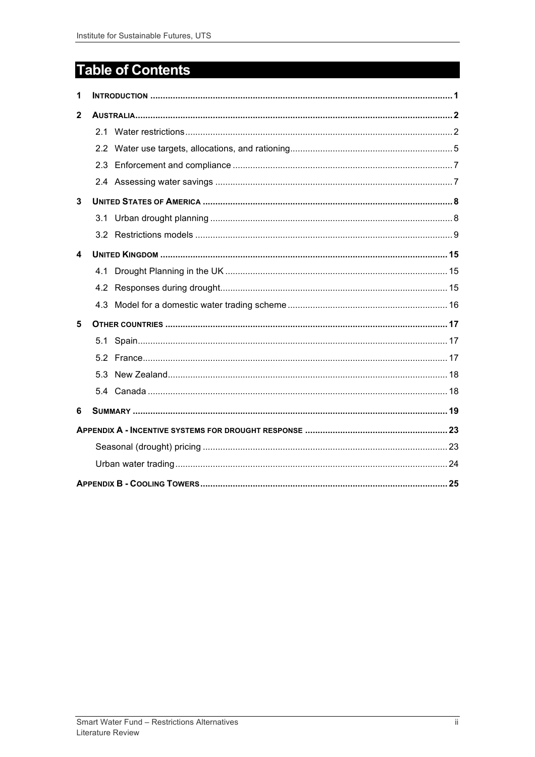# **Table of Contents**

| 1 |     |  |  |  |  |  |  |  |
|---|-----|--|--|--|--|--|--|--|
| 2 |     |  |  |  |  |  |  |  |
|   | 2.1 |  |  |  |  |  |  |  |
|   |     |  |  |  |  |  |  |  |
|   | 2.3 |  |  |  |  |  |  |  |
|   |     |  |  |  |  |  |  |  |
| 3 |     |  |  |  |  |  |  |  |
|   |     |  |  |  |  |  |  |  |
|   |     |  |  |  |  |  |  |  |
| 4 |     |  |  |  |  |  |  |  |
|   |     |  |  |  |  |  |  |  |
|   |     |  |  |  |  |  |  |  |
|   |     |  |  |  |  |  |  |  |
| 5 |     |  |  |  |  |  |  |  |
|   |     |  |  |  |  |  |  |  |
|   |     |  |  |  |  |  |  |  |
|   |     |  |  |  |  |  |  |  |
|   |     |  |  |  |  |  |  |  |
| 6 |     |  |  |  |  |  |  |  |
|   |     |  |  |  |  |  |  |  |
|   |     |  |  |  |  |  |  |  |
|   |     |  |  |  |  |  |  |  |
|   |     |  |  |  |  |  |  |  |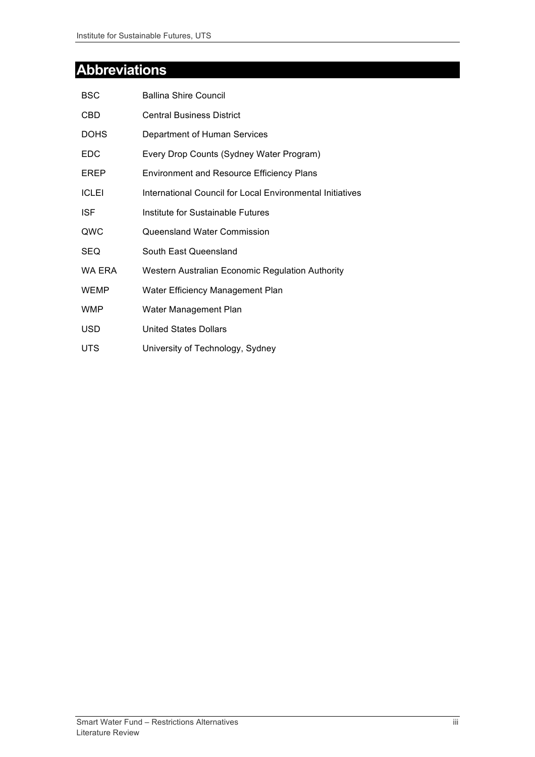# **Abbreviations**

| <b>BSC</b>   | <b>Ballina Shire Council</b>                              |
|--------------|-----------------------------------------------------------|
| CBD          | <b>Central Business District</b>                          |
| <b>DOHS</b>  | Department of Human Services                              |
| EDC.         | Every Drop Counts (Sydney Water Program)                  |
| EREP         | <b>Environment and Resource Efficiency Plans</b>          |
| <b>ICLEI</b> | International Council for Local Environmental Initiatives |
| <b>ISF</b>   | Institute for Sustainable Futures                         |
| QWC          | Queensland Water Commission                               |
| SEQ          | South East Queensland                                     |
| WA ERA       | Western Australian Economic Regulation Authority          |
| <b>WEMP</b>  | Water Efficiency Management Plan                          |
| <b>WMP</b>   | Water Management Plan                                     |
| USD          | <b>United States Dollars</b>                              |
| <b>UTS</b>   | University of Technology, Sydney                          |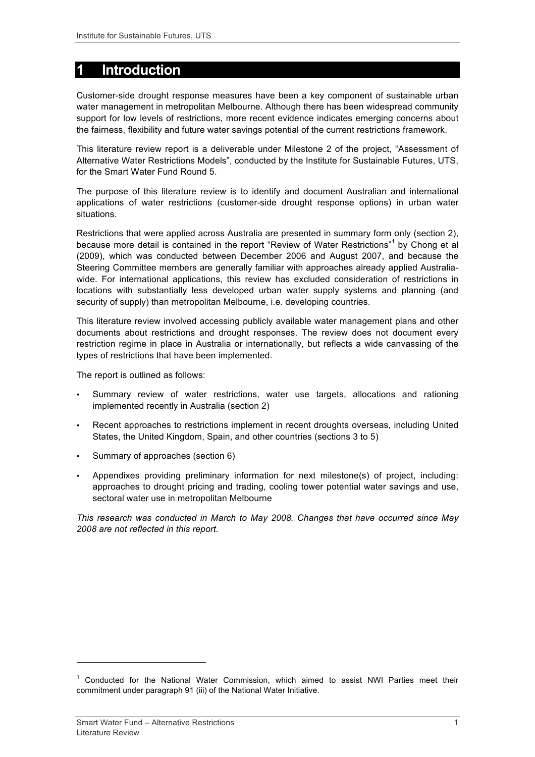# **1 Introduction**

Customer-side drought response measures have been a key component of sustainable urban water management in metropolitan Melbourne. Although there has been widespread community support for low levels of restrictions, more recent evidence indicates emerging concerns about the fairness, flexibility and future water savings potential of the current restrictions framework.

This literature review report is a deliverable under Milestone 2 of the project, "Assessment of Alternative Water Restrictions Models", conducted by the Institute for Sustainable Futures, UTS, for the Smart Water Fund Round 5.

The purpose of this literature review is to identify and document Australian and international applications of water restrictions (customer-side drought response options) in urban water situations.

Restrictions that were applied across Australia are presented in summary form only (section 2), because more detail is contained in the report "Review of Water Restrictions"<sup>1</sup> by Chong et al (2009), which was conducted between December 2006 and August 2007, and because the Steering Committee members are generally familiar with approaches already applied Australiawide. For international applications, this review has excluded consideration of restrictions in locations with substantially less developed urban water supply systems and planning (and security of supply) than metropolitan Melbourne, i.e. developing countries.

This literature review involved accessing publicly available water management plans and other documents about restrictions and drought responses. The review does not document every restriction regime in place in Australia or internationally, but reflects a wide canvassing of the types of restrictions that have been implemented.

The report is outlined as follows:

- Summary review of water restrictions, water use targets, allocations and rationing implemented recently in Australia (section 2)
- Recent approaches to restrictions implement in recent droughts overseas, including United States, the United Kingdom, Spain, and other countries (sections 3 to 5)
- Summary of approaches (section 6)
- Appendixes providing preliminary information for next milestone(s) of project, including: approaches to drought pricing and trading, cooling tower potential water savings and use, sectoral water use in metropolitan Melbourne

*This research was conducted in March to May 2008. Changes that have occurred since May 2008 are not reflected in this report.*

l

 $1$  Conducted for the National Water Commission, which aimed to assist NWI Parties meet their commitment under paragraph 91 (iii) of the National Water Initiative.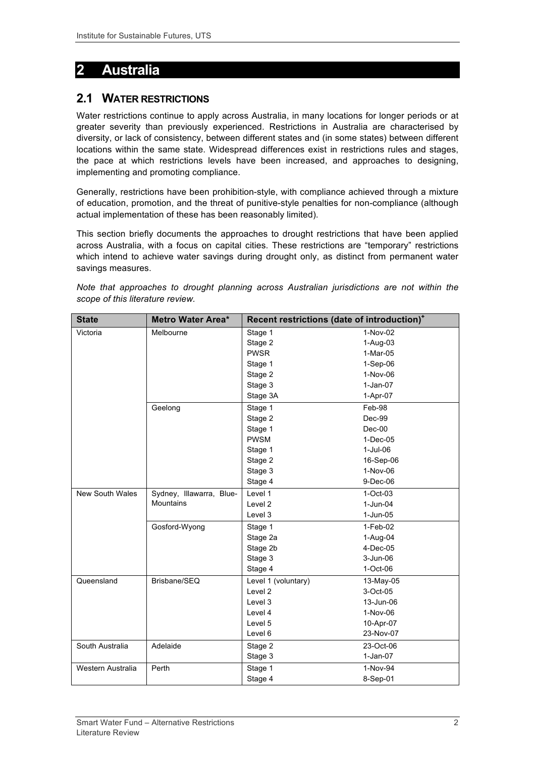# **2 Australia**

## **2.1 WATER RESTRICTIONS**

Water restrictions continue to apply across Australia, in many locations for longer periods or at greater severity than previously experienced. Restrictions in Australia are characterised by diversity, or lack of consistency, between different states and (in some states) between different locations within the same state. Widespread differences exist in restrictions rules and stages, the pace at which restrictions levels have been increased, and approaches to designing, implementing and promoting compliance.

Generally, restrictions have been prohibition-style, with compliance achieved through a mixture of education, promotion, and the threat of punitive-style penalties for non-compliance (although actual implementation of these has been reasonably limited).

This section briefly documents the approaches to drought restrictions that have been applied across Australia, with a focus on capital cities. These restrictions are "temporary" restrictions which intend to achieve water savings during drought only, as distinct from permanent water savings measures.

|  |                                  |  |  | Note that approaches to drought planning across Australian jurisdictions are not within the |  |  |
|--|----------------------------------|--|--|---------------------------------------------------------------------------------------------|--|--|
|  | scope of this literature review. |  |  |                                                                                             |  |  |

| <b>State</b>           | Metro Water Area*        | Recent restrictions (date of introduction) <sup>+</sup> |              |  |  |
|------------------------|--------------------------|---------------------------------------------------------|--------------|--|--|
| Victoria               | Melbourne                | Stage 1                                                 | 1-Nov-02     |  |  |
|                        |                          | Stage 2                                                 | 1-Aug-03     |  |  |
|                        |                          | <b>PWSR</b>                                             | $1-Mar-05$   |  |  |
|                        |                          | Stage 1                                                 | $1-Sep-06$   |  |  |
|                        |                          | Stage 2                                                 | 1-Nov-06     |  |  |
|                        |                          | Stage 3                                                 | $1-Jan-07$   |  |  |
|                        |                          | Stage 3A                                                | 1-Apr-07     |  |  |
|                        | Geelong                  | Stage 1                                                 | Feb-98       |  |  |
|                        |                          | Stage 2                                                 | Dec-99       |  |  |
|                        |                          | Stage 1                                                 | $Dec-00$     |  |  |
|                        |                          | <b>PWSM</b>                                             | $1-Dec-05$   |  |  |
|                        |                          | Stage 1                                                 | $1-Jul-06$   |  |  |
|                        |                          | Stage 2                                                 | 16-Sep-06    |  |  |
|                        |                          | Stage 3                                                 | 1-Nov-06     |  |  |
|                        |                          | Stage 4                                                 | $9-Dec-06$   |  |  |
| <b>New South Wales</b> | Sydney, Illawarra, Blue- | Level 1                                                 | $1-Oct-03$   |  |  |
|                        | <b>Mountains</b>         | Level <sub>2</sub>                                      | $1-Jun-04$   |  |  |
|                        |                          | Level 3                                                 | $1-Jun-05$   |  |  |
|                        | Gosford-Wyong            | Stage 1                                                 | $1-Feb-02$   |  |  |
|                        |                          | Stage 2a                                                | $1-Aug-04$   |  |  |
|                        |                          | Stage 2b                                                | $4-Dec-05$   |  |  |
|                        |                          | Stage 3                                                 | $3 - Jun-06$ |  |  |
|                        |                          | Stage 4                                                 | $1-Oct-06$   |  |  |
| Queensland             | Brisbane/SEQ             | Level 1 (voluntary)                                     | 13-May-05    |  |  |
|                        |                          | Level 2                                                 | 3-Oct-05     |  |  |
|                        |                          | Level 3                                                 | 13-Jun-06    |  |  |
|                        |                          | Level 4                                                 | 1-Nov-06     |  |  |
|                        |                          | Level 5                                                 | 10-Apr-07    |  |  |
|                        |                          | Level 6                                                 | 23-Nov-07    |  |  |
| South Australia        | Adelaide                 | Stage 2                                                 | 23-Oct-06    |  |  |
|                        |                          | Stage 3                                                 | $1-Jan-07$   |  |  |
| Western Australia      | Perth                    | Stage 1                                                 | 1-Nov-94     |  |  |
|                        |                          | Stage 4                                                 | 8-Sep-01     |  |  |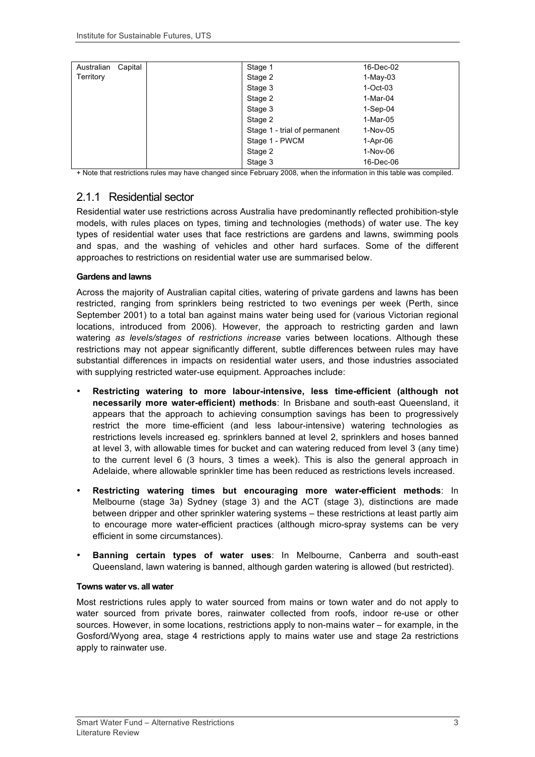| Capital<br>Australian | Stage 1                      | 16-Dec-02  |
|-----------------------|------------------------------|------------|
| Territory             | Stage 2                      | $1-May-03$ |
|                       | Stage 3                      | $1-Oct-03$ |
|                       | Stage 2                      | $1-Mar-04$ |
|                       | Stage 3                      | $1-Sep-04$ |
|                       | Stage 2                      | $1-Mar-05$ |
|                       | Stage 1 - trial of permanent | 1-Nov-05   |
|                       | Stage 1 - PWCM               | 1-Apr-06   |
|                       | Stage 2                      | 1-Nov-06   |
|                       | Stage 3                      | 16-Dec-06  |

+ Note that restrictions rules may have changed since February 2008, when the information in this table was compiled.

## 2.1.1 Residential sector

Residential water use restrictions across Australia have predominantly reflected prohibition-style models, with rules places on types, timing and technologies (methods) of water use. The key types of residential water uses that face restrictions are gardens and lawns, swimming pools and spas, and the washing of vehicles and other hard surfaces. Some of the different approaches to restrictions on residential water use are summarised below.

#### **Gardens and lawns**

Across the majority of Australian capital cities, watering of private gardens and lawns has been restricted, ranging from sprinklers being restricted to two evenings per week (Perth, since September 2001) to a total ban against mains water being used for (various Victorian regional locations, introduced from 2006). However, the approach to restricting garden and lawn watering *as levels/stages of restrictions increase* varies between locations. Although these restrictions may not appear significantly different, subtle differences between rules may have substantial differences in impacts on residential water users, and those industries associated with supplying restricted water-use equipment. Approaches include:

- **Restricting watering to more labour-intensive, less time-efficient (although not necessarily more water-efficient) methods**: In Brisbane and south-east Queensland, it appears that the approach to achieving consumption savings has been to progressively restrict the more time-efficient (and less labour-intensive) watering technologies as restrictions levels increased eg. sprinklers banned at level 2, sprinklers and hoses banned at level 3, with allowable times for bucket and can watering reduced from level 3 (any time) to the current level 6 (3 hours, 3 times a week). This is also the general approach in Adelaide, where allowable sprinkler time has been reduced as restrictions levels increased.
- **Restricting watering times but encouraging more water-efficient methods**: In Melbourne (stage 3a) Sydney (stage 3) and the ACT (stage 3), distinctions are made between dripper and other sprinkler watering systems – these restrictions at least partly aim to encourage more water-efficient practices (although micro-spray systems can be very efficient in some circumstances).
- **Banning certain types of water uses**: In Melbourne, Canberra and south-east Queensland, lawn watering is banned, although garden watering is allowed (but restricted).

#### **Towns water vs. all water**

Most restrictions rules apply to water sourced from mains or town water and do not apply to water sourced from private bores, rainwater collected from roofs, indoor re-use or other sources. However, in some locations, restrictions apply to non-mains water – for example, in the Gosford/Wyong area, stage 4 restrictions apply to mains water use and stage 2a restrictions apply to rainwater use.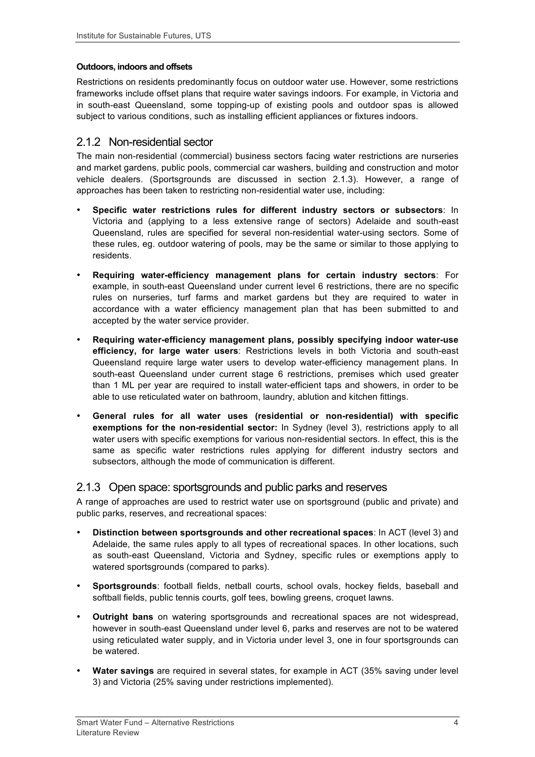#### **Outdoors, indoors and offsets**

Restrictions on residents predominantly focus on outdoor water use. However, some restrictions frameworks include offset plans that require water savings indoors. For example, in Victoria and in south-east Queensland, some topping-up of existing pools and outdoor spas is allowed subject to various conditions, such as installing efficient appliances or fixtures indoors.

### 2.1.2 Non-residential sector

The main non-residential (commercial) business sectors facing water restrictions are nurseries and market gardens, public pools, commercial car washers, building and construction and motor vehicle dealers. (Sportsgrounds are discussed in section 2.1.3). However, a range of approaches has been taken to restricting non-residential water use, including:

- **Specific water restrictions rules for different industry sectors or subsectors**: In Victoria and (applying to a less extensive range of sectors) Adelaide and south-east Queensland, rules are specified for several non-residential water-using sectors. Some of these rules, eg. outdoor watering of pools, may be the same or similar to those applying to residents.
- **Requiring water-efficiency management plans for certain industry sectors**: For example, in south-east Queensland under current level 6 restrictions, there are no specific rules on nurseries, turf farms and market gardens but they are required to water in accordance with a water efficiency management plan that has been submitted to and accepted by the water service provider.
- **Requiring water-efficiency management plans, possibly specifying indoor water-use efficiency, for large water users**: Restrictions levels in both Victoria and south-east Queensland require large water users to develop water-efficiency management plans. In south-east Queensland under current stage 6 restrictions, premises which used greater than 1 ML per year are required to install water-efficient taps and showers, in order to be able to use reticulated water on bathroom, laundry, ablution and kitchen fittings.
- **General rules for all water uses (residential or non-residential) with specific exemptions for the non-residential sector:** In Sydney (level 3), restrictions apply to all water users with specific exemptions for various non-residential sectors. In effect, this is the same as specific water restrictions rules applying for different industry sectors and subsectors, although the mode of communication is different.

### 2.1.3 Open space: sportsgrounds and public parks and reserves

A range of approaches are used to restrict water use on sportsground (public and private) and public parks, reserves, and recreational spaces:

- **Distinction between sportsgrounds and other recreational spaces**: In ACT (level 3) and Adelaide, the same rules apply to all types of recreational spaces. In other locations, such as south-east Queensland, Victoria and Sydney, specific rules or exemptions apply to watered sportsgrounds (compared to parks).
- **Sportsgrounds**: football fields, netball courts, school ovals, hockey fields, baseball and softball fields, public tennis courts, golf tees, bowling greens, croquet lawns.
- **Outright bans** on watering sportsgrounds and recreational spaces are not widespread, however in south-east Queensland under level 6, parks and reserves are not to be watered using reticulated water supply, and in Victoria under level 3, one in four sportsgrounds can be watered.
- **Water savings** are required in several states, for example in ACT (35% saving under level 3) and Victoria (25% saving under restrictions implemented).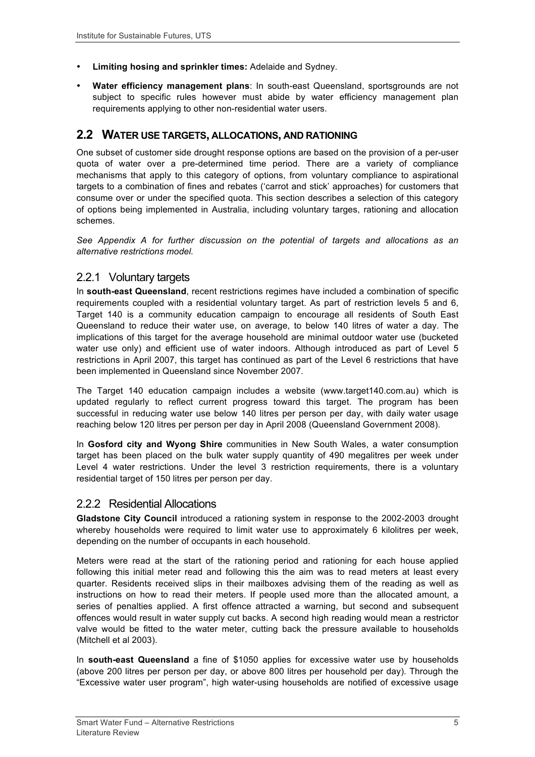- **Limiting hosing and sprinkler times:** Adelaide and Sydney.
- **Water efficiency management plans**: In south-east Queensland, sportsgrounds are not subject to specific rules however must abide by water efficiency management plan requirements applying to other non-residential water users.

#### **2.2 WATER USE TARGETS, ALLOCATIONS, AND RATIONING**

One subset of customer side drought response options are based on the provision of a per-user quota of water over a pre-determined time period. There are a variety of compliance mechanisms that apply to this category of options, from voluntary compliance to aspirational targets to a combination of fines and rebates ('carrot and stick' approaches) for customers that consume over or under the specified quota. This section describes a selection of this category of options being implemented in Australia, including voluntary targes, rationing and allocation schemes.

*See Appendix A for further discussion on the potential of targets and allocations as an alternative restrictions model.*

#### 2.2.1 Voluntary targets

In **south-east Queensland**, recent restrictions regimes have included a combination of specific requirements coupled with a residential voluntary target. As part of restriction levels 5 and 6, Target 140 is a community education campaign to encourage all residents of South East Queensland to reduce their water use, on average, to below 140 litres of water a day. The implications of this target for the average household are minimal outdoor water use (bucketed water use only) and efficient use of water indoors. Although introduced as part of Level 5 restrictions in April 2007, this target has continued as part of the Level 6 restrictions that have been implemented in Queensland since November 2007.

The Target 140 education campaign includes a website (www.target140.com.au) which is updated regularly to reflect current progress toward this target. The program has been successful in reducing water use below 140 litres per person per day, with daily water usage reaching below 120 litres per person per day in April 2008 (Queensland Government 2008).

In **Gosford city and Wyong Shire** communities in New South Wales, a water consumption target has been placed on the bulk water supply quantity of 490 megalitres per week under Level 4 water restrictions. Under the level 3 restriction requirements, there is a voluntary residential target of 150 litres per person per day.

#### 2.2.2 Residential Allocations

**Gladstone City Council** introduced a rationing system in response to the 2002-2003 drought whereby households were required to limit water use to approximately 6 kilolitres per week, depending on the number of occupants in each household.

Meters were read at the start of the rationing period and rationing for each house applied following this initial meter read and following this the aim was to read meters at least every quarter. Residents received slips in their mailboxes advising them of the reading as well as instructions on how to read their meters. If people used more than the allocated amount, a series of penalties applied. A first offence attracted a warning, but second and subsequent offences would result in water supply cut backs. A second high reading would mean a restrictor valve would be fitted to the water meter, cutting back the pressure available to households (Mitchell et al 2003).

In **south-east Queensland** a fine of \$1050 applies for excessive water use by households (above 200 litres per person per day, or above 800 litres per household per day). Through the "Excessive water user program", high water-using households are notified of excessive usage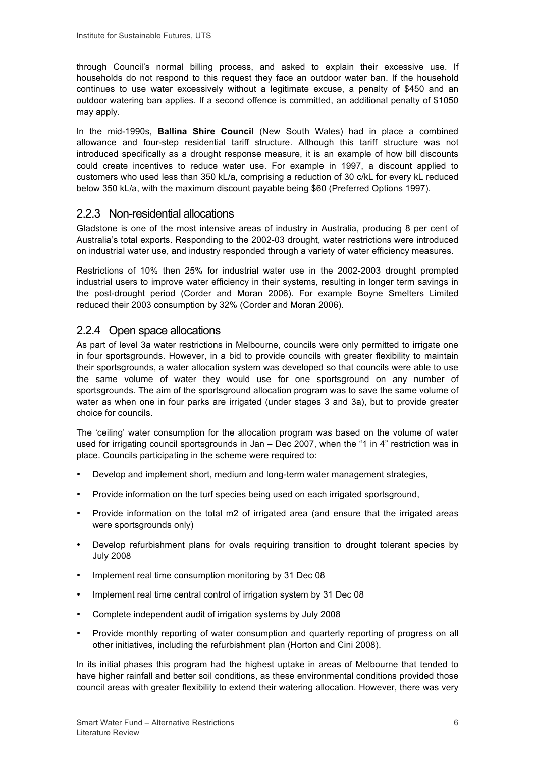through Council's normal billing process, and asked to explain their excessive use. If households do not respond to this request they face an outdoor water ban. If the household continues to use water excessively without a legitimate excuse, a penalty of \$450 and an outdoor watering ban applies. If a second offence is committed, an additional penalty of \$1050 may apply.

In the mid-1990s, **Ballina Shire Council** (New South Wales) had in place a combined allowance and four-step residential tariff structure. Although this tariff structure was not introduced specifically as a drought response measure, it is an example of how bill discounts could create incentives to reduce water use. For example in 1997, a discount applied to customers who used less than 350 kL/a, comprising a reduction of 30 c/kL for every kL reduced below 350 kL/a, with the maximum discount payable being \$60 (Preferred Options 1997).

#### 2.2.3 Non-residential allocations

Gladstone is one of the most intensive areas of industry in Australia, producing 8 per cent of Australia's total exports. Responding to the 2002-03 drought, water restrictions were introduced on industrial water use, and industry responded through a variety of water efficiency measures.

Restrictions of 10% then 25% for industrial water use in the 2002-2003 drought prompted industrial users to improve water efficiency in their systems, resulting in longer term savings in the post-drought period (Corder and Moran 2006). For example Boyne Smelters Limited reduced their 2003 consumption by 32% (Corder and Moran 2006).

#### 2.2.4 Open space allocations

As part of level 3a water restrictions in Melbourne, councils were only permitted to irrigate one in four sportsgrounds. However, in a bid to provide councils with greater flexibility to maintain their sportsgrounds, a water allocation system was developed so that councils were able to use the same volume of water they would use for one sportsground on any number of sportsgrounds. The aim of the sportsground allocation program was to save the same volume of water as when one in four parks are irrigated (under stages 3 and 3a), but to provide greater choice for councils.

The 'ceiling' water consumption for the allocation program was based on the volume of water used for irrigating council sportsgrounds in Jan – Dec 2007, when the "1 in 4" restriction was in place. Councils participating in the scheme were required to:

- Develop and implement short, medium and long-term water management strategies,
- Provide information on the turf species being used on each irrigated sportsground,
- Provide information on the total m2 of irrigated area (and ensure that the irrigated areas were sportsgrounds only)
- Develop refurbishment plans for ovals requiring transition to drought tolerant species by July 2008
- Implement real time consumption monitoring by 31 Dec 08
- Implement real time central control of irrigation system by 31 Dec 08
- Complete independent audit of irrigation systems by July 2008
- Provide monthly reporting of water consumption and quarterly reporting of progress on all other initiatives, including the refurbishment plan (Horton and Cini 2008).

In its initial phases this program had the highest uptake in areas of Melbourne that tended to have higher rainfall and better soil conditions, as these environmental conditions provided those council areas with greater flexibility to extend their watering allocation. However, there was very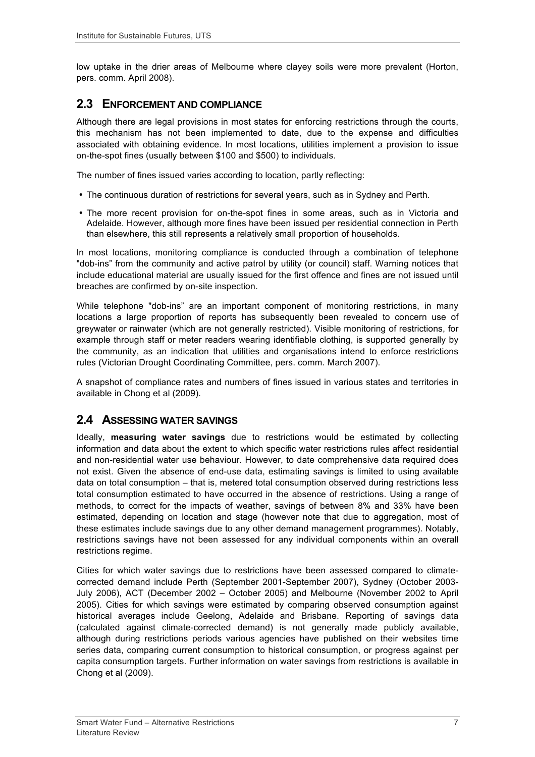low uptake in the drier areas of Melbourne where clayey soils were more prevalent (Horton, pers. comm. April 2008).

#### **2.3 ENFORCEMENT AND COMPLIANCE**

Although there are legal provisions in most states for enforcing restrictions through the courts, this mechanism has not been implemented to date, due to the expense and difficulties associated with obtaining evidence. In most locations, utilities implement a provision to issue on-the-spot fines (usually between \$100 and \$500) to individuals.

The number of fines issued varies according to location, partly reflecting:

- The continuous duration of restrictions for several years, such as in Sydney and Perth.
- The more recent provision for on-the-spot fines in some areas, such as in Victoria and Adelaide. However, although more fines have been issued per residential connection in Perth than elsewhere, this still represents a relatively small proportion of households.

In most locations, monitoring compliance is conducted through a combination of telephone "dob-ins" from the community and active patrol by utility (or council) staff. Warning notices that include educational material are usually issued for the first offence and fines are not issued until breaches are confirmed by on-site inspection.

While telephone "dob-ins" are an important component of monitoring restrictions, in many locations a large proportion of reports has subsequently been revealed to concern use of greywater or rainwater (which are not generally restricted). Visible monitoring of restrictions, for example through staff or meter readers wearing identifiable clothing, is supported generally by the community, as an indication that utilities and organisations intend to enforce restrictions rules (Victorian Drought Coordinating Committee, pers. comm. March 2007).

A snapshot of compliance rates and numbers of fines issued in various states and territories in available in Chong et al (2009).

### **2.4 ASSESSING WATER SAVINGS**

Ideally, **measuring water savings** due to restrictions would be estimated by collecting information and data about the extent to which specific water restrictions rules affect residential and non-residential water use behaviour. However, to date comprehensive data required does not exist. Given the absence of end-use data, estimating savings is limited to using available data on total consumption – that is, metered total consumption observed during restrictions less total consumption estimated to have occurred in the absence of restrictions. Using a range of methods, to correct for the impacts of weather, savings of between 8% and 33% have been estimated, depending on location and stage (however note that due to aggregation, most of these estimates include savings due to any other demand management programmes). Notably, restrictions savings have not been assessed for any individual components within an overall restrictions regime.

Cities for which water savings due to restrictions have been assessed compared to climatecorrected demand include Perth (September 2001-September 2007), Sydney (October 2003- July 2006), ACT (December 2002 – October 2005) and Melbourne (November 2002 to April 2005). Cities for which savings were estimated by comparing observed consumption against historical averages include Geelong, Adelaide and Brisbane. Reporting of savings data (calculated against climate-corrected demand) is not generally made publicly available, although during restrictions periods various agencies have published on their websites time series data, comparing current consumption to historical consumption, or progress against per capita consumption targets. Further information on water savings from restrictions is available in Chong et al (2009).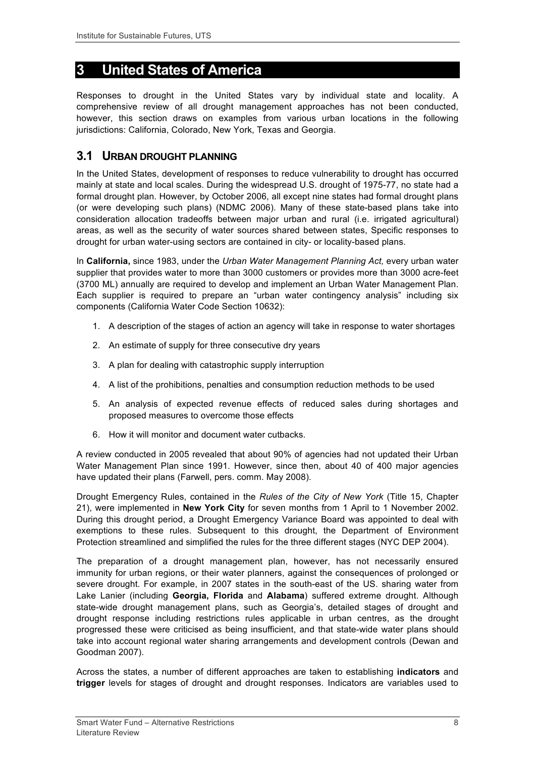# **3 United States of America**

Responses to drought in the United States vary by individual state and locality. A comprehensive review of all drought management approaches has not been conducted, however, this section draws on examples from various urban locations in the following jurisdictions: California, Colorado, New York, Texas and Georgia.

## **3.1 URBAN DROUGHT PLANNING**

In the United States, development of responses to reduce vulnerability to drought has occurred mainly at state and local scales. During the widespread U.S. drought of 1975-77, no state had a formal drought plan. However, by October 2006, all except nine states had formal drought plans (or were developing such plans) (NDMC 2006). Many of these state-based plans take into consideration allocation tradeoffs between major urban and rural (i.e. irrigated agricultural) areas, as well as the security of water sources shared between states, Specific responses to drought for urban water-using sectors are contained in city- or locality-based plans.

In **California,** since 1983, under the *Urban Water Management Planning Act,* every urban water supplier that provides water to more than 3000 customers or provides more than 3000 acre-feet (3700 ML) annually are required to develop and implement an Urban Water Management Plan. Each supplier is required to prepare an "urban water contingency analysis" including six components (California Water Code Section 10632):

- 1. A description of the stages of action an agency will take in response to water shortages
- 2. An estimate of supply for three consecutive dry years
- 3. A plan for dealing with catastrophic supply interruption
- 4. A list of the prohibitions, penalties and consumption reduction methods to be used
- 5. An analysis of expected revenue effects of reduced sales during shortages and proposed measures to overcome those effects
- 6. How it will monitor and document water cutbacks.

A review conducted in 2005 revealed that about 90% of agencies had not updated their Urban Water Management Plan since 1991. However, since then, about 40 of 400 major agencies have updated their plans (Farwell, pers. comm. May 2008).

Drought Emergency Rules, contained in the *Rules of the City of New York* (Title 15, Chapter 21), were implemented in **New York City** for seven months from 1 April to 1 November 2002. During this drought period, a Drought Emergency Variance Board was appointed to deal with exemptions to these rules. Subsequent to this drought, the Department of Environment Protection streamlined and simplified the rules for the three different stages (NYC DEP 2004).

The preparation of a drought management plan, however, has not necessarily ensured immunity for urban regions, or their water planners, against the consequences of prolonged or severe drought. For example, in 2007 states in the south-east of the US. sharing water from Lake Lanier (including **Georgia, Florida** and **Alabama**) suffered extreme drought. Although state-wide drought management plans, such as Georgia's, detailed stages of drought and drought response including restrictions rules applicable in urban centres, as the drought progressed these were criticised as being insufficient, and that state-wide water plans should take into account regional water sharing arrangements and development controls (Dewan and Goodman 2007).

Across the states, a number of different approaches are taken to establishing **indicators** and **trigger** levels for stages of drought and drought responses. Indicators are variables used to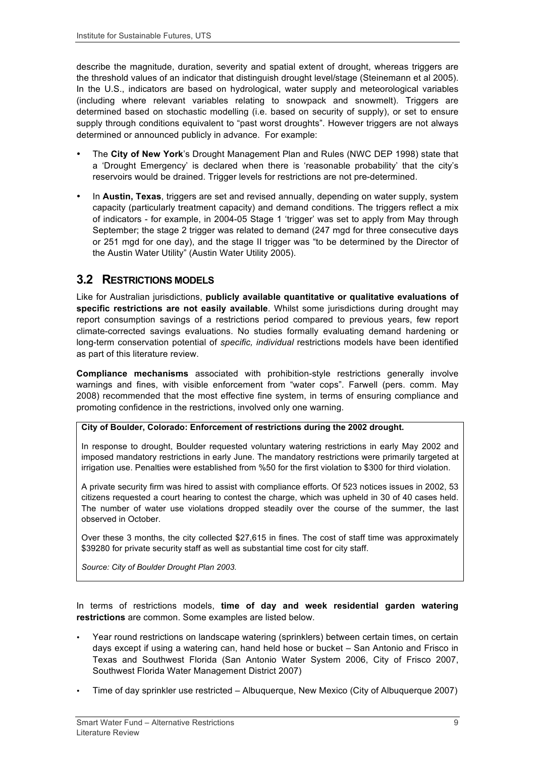describe the magnitude, duration, severity and spatial extent of drought, whereas triggers are the threshold values of an indicator that distinguish drought level/stage (Steinemann et al 2005). In the U.S., indicators are based on hydrological, water supply and meteorological variables (including where relevant variables relating to snowpack and snowmelt). Triggers are determined based on stochastic modelling (i.e. based on security of supply), or set to ensure supply through conditions equivalent to "past worst droughts". However triggers are not always determined or announced publicly in advance. For example:

- The **City of New York**'s Drought Management Plan and Rules (NWC DEP 1998) state that a 'Drought Emergency' is declared when there is 'reasonable probability' that the city's reservoirs would be drained. Trigger levels for restrictions are not pre-determined.
- In **Austin, Texas**, triggers are set and revised annually, depending on water supply, system capacity (particularly treatment capacity) and demand conditions. The triggers reflect a mix of indicators - for example, in 2004-05 Stage 1 'trigger' was set to apply from May through September; the stage 2 trigger was related to demand (247 mgd for three consecutive days or 251 mgd for one day), and the stage II trigger was "to be determined by the Director of the Austin Water Utility" (Austin Water Utility 2005).

### **3.2 RESTRICTIONS MODELS**

Like for Australian jurisdictions, **publicly available quantitative or qualitative evaluations of specific restrictions are not easily available**. Whilst some jurisdictions during drought may report consumption savings of a restrictions period compared to previous years, few report climate-corrected savings evaluations. No studies formally evaluating demand hardening or long-term conservation potential of *specific, individual* restrictions models have been identified as part of this literature review.

**Compliance mechanisms** associated with prohibition-style restrictions generally involve warnings and fines, with visible enforcement from "water cops". Farwell (pers. comm. May 2008) recommended that the most effective fine system, in terms of ensuring compliance and promoting confidence in the restrictions, involved only one warning.

#### **City of Boulder, Colorado: Enforcement of restrictions during the 2002 drought.**

In response to drought, Boulder requested voluntary watering restrictions in early May 2002 and imposed mandatory restrictions in early June. The mandatory restrictions were primarily targeted at irrigation use. Penalties were established from %50 for the first violation to \$300 for third violation.

A private security firm was hired to assist with compliance efforts. Of 523 notices issues in 2002, 53 citizens requested a court hearing to contest the charge, which was upheld in 30 of 40 cases held. The number of water use violations dropped steadily over the course of the summer, the last observed in October.

Over these 3 months, the city collected \$27,615 in fines. The cost of staff time was approximately \$39280 for private security staff as well as substantial time cost for city staff.

*Source: City of Boulder Drought Plan 2003.*

In terms of restrictions models, **time of day and week residential garden watering restrictions** are common. Some examples are listed below.

- Year round restrictions on landscape watering (sprinklers) between certain times, on certain days except if using a watering can, hand held hose or bucket – San Antonio and Frisco in Texas and Southwest Florida (San Antonio Water System 2006, City of Frisco 2007, Southwest Florida Water Management District 2007)
- Time of day sprinkler use restricted Albuquerque, New Mexico (City of Albuquerque 2007)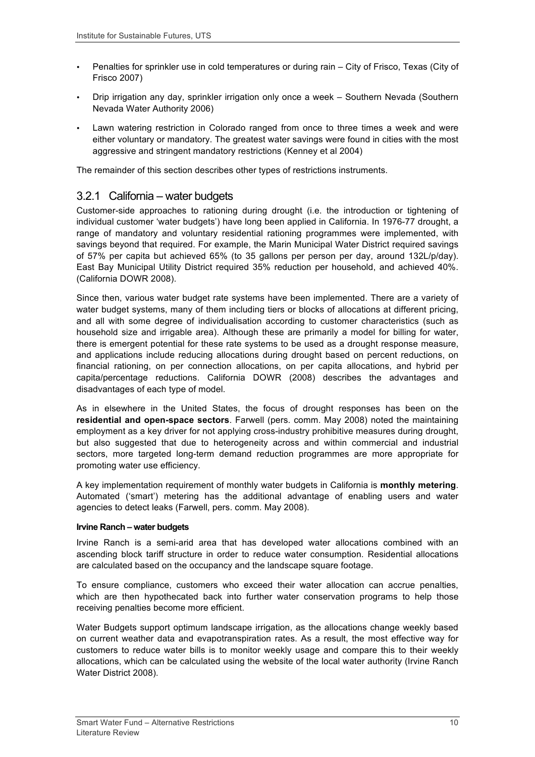- Penalties for sprinkler use in cold temperatures or during rain City of Frisco, Texas (City of Frisco 2007)
- Drip irrigation any day, sprinkler irrigation only once a week Southern Nevada (Southern Nevada Water Authority 2006)
- Lawn watering restriction in Colorado ranged from once to three times a week and were either voluntary or mandatory. The greatest water savings were found in cities with the most aggressive and stringent mandatory restrictions (Kenney et al 2004)

The remainder of this section describes other types of restrictions instruments.

#### 3.2.1 California – water budgets

Customer-side approaches to rationing during drought (i.e. the introduction or tightening of individual customer 'water budgets') have long been applied in California. In 1976-77 drought, a range of mandatory and voluntary residential rationing programmes were implemented, with savings beyond that required. For example, the Marin Municipal Water District required savings of 57% per capita but achieved 65% (to 35 gallons per person per day, around 132L/p/day). East Bay Municipal Utility District required 35% reduction per household, and achieved 40%. (California DOWR 2008).

Since then, various water budget rate systems have been implemented. There are a variety of water budget systems, many of them including tiers or blocks of allocations at different pricing, and all with some degree of individualisation according to customer characteristics (such as household size and irrigable area). Although these are primarily a model for billing for water, there is emergent potential for these rate systems to be used as a drought response measure, and applications include reducing allocations during drought based on percent reductions, on financial rationing, on per connection allocations, on per capita allocations, and hybrid per capita/percentage reductions. California DOWR (2008) describes the advantages and disadvantages of each type of model.

As in elsewhere in the United States, the focus of drought responses has been on the **residential and open-space sectors**. Farwell (pers. comm. May 2008) noted the maintaining employment as a key driver for not applying cross-industry prohibitive measures during drought, but also suggested that due to heterogeneity across and within commercial and industrial sectors, more targeted long-term demand reduction programmes are more appropriate for promoting water use efficiency.

A key implementation requirement of monthly water budgets in California is **monthly metering**. Automated ('smart') metering has the additional advantage of enabling users and water agencies to detect leaks (Farwell, pers. comm. May 2008).

#### **Irvine Ranch – water budgets**

Irvine Ranch is a semi-arid area that has developed water allocations combined with an ascending block tariff structure in order to reduce water consumption. Residential allocations are calculated based on the occupancy and the landscape square footage.

To ensure compliance, customers who exceed their water allocation can accrue penalties, which are then hypothecated back into further water conservation programs to help those receiving penalties become more efficient.

Water Budgets support optimum landscape irrigation, as the allocations change weekly based on current weather data and evapotranspiration rates. As a result, the most effective way for customers to reduce water bills is to monitor weekly usage and compare this to their weekly allocations, which can be calculated using the website of the local water authority (Irvine Ranch Water District 2008).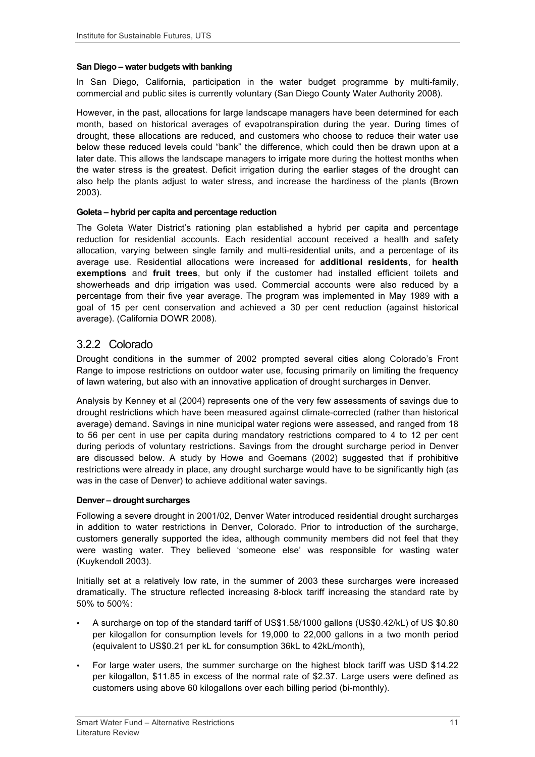#### **San Diego – water budgets with banking**

In San Diego, California, participation in the water budget programme by multi-family, commercial and public sites is currently voluntary (San Diego County Water Authority 2008).

However, in the past, allocations for large landscape managers have been determined for each month, based on historical averages of evapotranspiration during the year. During times of drought, these allocations are reduced, and customers who choose to reduce their water use below these reduced levels could "bank" the difference, which could then be drawn upon at a later date. This allows the landscape managers to irrigate more during the hottest months when the water stress is the greatest. Deficit irrigation during the earlier stages of the drought can also help the plants adjust to water stress, and increase the hardiness of the plants (Brown 2003).

#### **Goleta – hybrid per capita and percentage reduction**

The Goleta Water District's rationing plan established a hybrid per capita and percentage reduction for residential accounts. Each residential account received a health and safety allocation, varying between single family and multi-residential units, and a percentage of its average use. Residential allocations were increased for **additional residents**, for **health exemptions** and **fruit trees**, but only if the customer had installed efficient toilets and showerheads and drip irrigation was used. Commercial accounts were also reduced by a percentage from their five year average. The program was implemented in May 1989 with a goal of 15 per cent conservation and achieved a 30 per cent reduction (against historical average). (California DOWR 2008).

#### 3.2.2 Colorado

Drought conditions in the summer of 2002 prompted several cities along Colorado's Front Range to impose restrictions on outdoor water use, focusing primarily on limiting the frequency of lawn watering, but also with an innovative application of drought surcharges in Denver.

Analysis by Kenney et al (2004) represents one of the very few assessments of savings due to drought restrictions which have been measured against climate-corrected (rather than historical average) demand. Savings in nine municipal water regions were assessed, and ranged from 18 to 56 per cent in use per capita during mandatory restrictions compared to 4 to 12 per cent during periods of voluntary restrictions. Savings from the drought surcharge period in Denver are discussed below. A study by Howe and Goemans (2002) suggested that if prohibitive restrictions were already in place, any drought surcharge would have to be significantly high (as was in the case of Denver) to achieve additional water savings.

#### **Denver – drought surcharges**

Following a severe drought in 2001/02, Denver Water introduced residential drought surcharges in addition to water restrictions in Denver, Colorado. Prior to introduction of the surcharge, customers generally supported the idea, although community members did not feel that they were wasting water. They believed 'someone else' was responsible for wasting water (Kuykendoll 2003).

Initially set at a relatively low rate, in the summer of 2003 these surcharges were increased dramatically. The structure reflected increasing 8-block tariff increasing the standard rate by 50% to 500%:

- A surcharge on top of the standard tariff of US\$1.58/1000 gallons (US\$0.42/kL) of US \$0.80 per kilogallon for consumption levels for 19,000 to 22,000 gallons in a two month period (equivalent to US\$0.21 per kL for consumption 36kL to 42kL/month),
- For large water users, the summer surcharge on the highest block tariff was USD \$14.22 per kilogallon, \$11.85 in excess of the normal rate of \$2.37. Large users were defined as customers using above 60 kilogallons over each billing period (bi-monthly).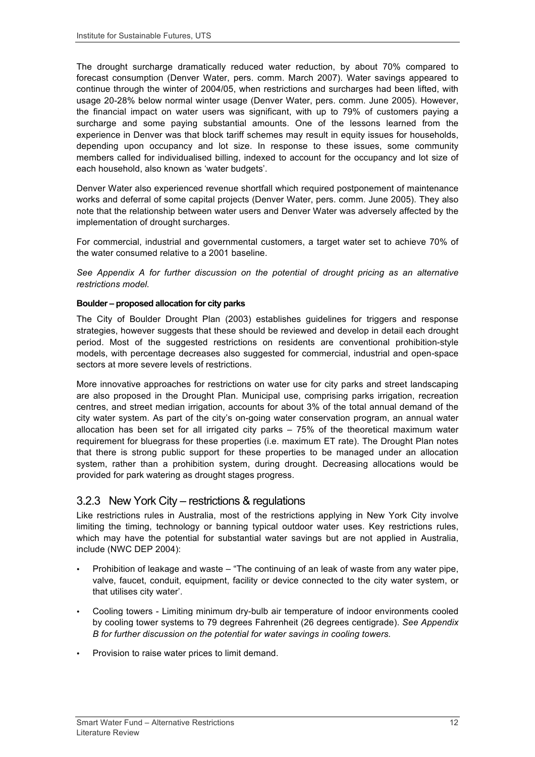The drought surcharge dramatically reduced water reduction, by about 70% compared to forecast consumption (Denver Water, pers. comm. March 2007). Water savings appeared to continue through the winter of 2004/05, when restrictions and surcharges had been lifted, with usage 20-28% below normal winter usage (Denver Water, pers. comm. June 2005). However, the financial impact on water users was significant, with up to 79% of customers paying a surcharge and some paying substantial amounts. One of the lessons learned from the experience in Denver was that block tariff schemes may result in equity issues for households, depending upon occupancy and lot size. In response to these issues, some community members called for individualised billing, indexed to account for the occupancy and lot size of each household, also known as 'water budgets'.

Denver Water also experienced revenue shortfall which required postponement of maintenance works and deferral of some capital projects (Denver Water, pers. comm. June 2005). They also note that the relationship between water users and Denver Water was adversely affected by the implementation of drought surcharges.

For commercial, industrial and governmental customers, a target water set to achieve 70% of the water consumed relative to a 2001 baseline.

*See Appendix A for further discussion on the potential of drought pricing as an alternative restrictions model.*

#### **Boulder – proposed allocation for city parks**

The City of Boulder Drought Plan (2003) establishes guidelines for triggers and response strategies, however suggests that these should be reviewed and develop in detail each drought period. Most of the suggested restrictions on residents are conventional prohibition-style models, with percentage decreases also suggested for commercial, industrial and open-space sectors at more severe levels of restrictions.

More innovative approaches for restrictions on water use for city parks and street landscaping are also proposed in the Drought Plan. Municipal use, comprising parks irrigation, recreation centres, and street median irrigation, accounts for about 3% of the total annual demand of the city water system. As part of the city's on-going water conservation program, an annual water allocation has been set for all irrigated city parks – 75% of the theoretical maximum water requirement for bluegrass for these properties (i.e. maximum ET rate). The Drought Plan notes that there is strong public support for these properties to be managed under an allocation system, rather than a prohibition system, during drought. Decreasing allocations would be provided for park watering as drought stages progress.

#### 3.2.3 New York City – restrictions & regulations

Like restrictions rules in Australia, most of the restrictions applying in New York City involve limiting the timing, technology or banning typical outdoor water uses. Key restrictions rules, which may have the potential for substantial water savings but are not applied in Australia, include (NWC DEP 2004):

- Prohibition of leakage and waste "The continuing of an leak of waste from any water pipe, valve, faucet, conduit, equipment, facility or device connected to the city water system, or that utilises city water'.
- Cooling towers Limiting minimum dry-bulb air temperature of indoor environments cooled by cooling tower systems to 79 degrees Fahrenheit (26 degrees centigrade). *See Appendix B for further discussion on the potential for water savings in cooling towers.*
- Provision to raise water prices to limit demand.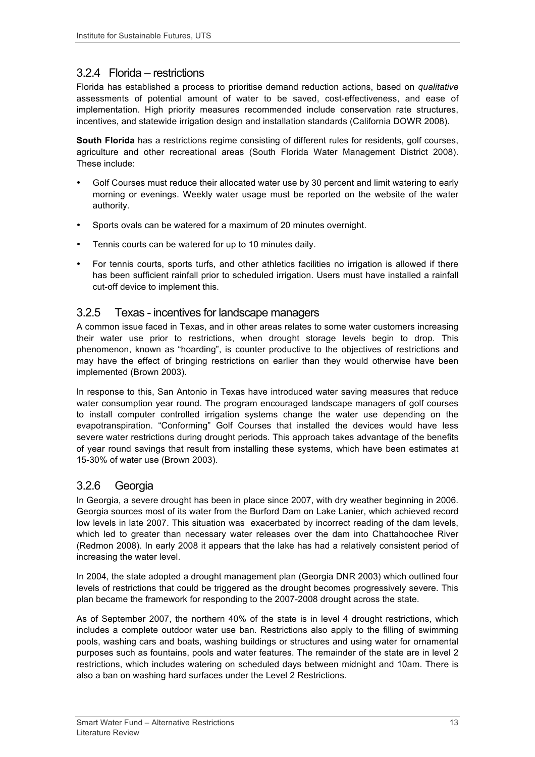## 3.2.4 Florida – restrictions

Florida has established a process to prioritise demand reduction actions, based on *qualitative* assessments of potential amount of water to be saved, cost-effectiveness, and ease of implementation. High priority measures recommended include conservation rate structures, incentives, and statewide irrigation design and installation standards (California DOWR 2008).

**South Florida** has a restrictions regime consisting of different rules for residents, golf courses, agriculture and other recreational areas (South Florida Water Management District 2008). These include:

- Golf Courses must reduce their allocated water use by 30 percent and limit watering to early morning or evenings. Weekly water usage must be reported on the website of the water authority.
- Sports ovals can be watered for a maximum of 20 minutes overnight.
- Tennis courts can be watered for up to 10 minutes daily.
- For tennis courts, sports turfs, and other athletics facilities no irrigation is allowed if there has been sufficient rainfall prior to scheduled irrigation. Users must have installed a rainfall cut-off device to implement this.

#### 3.2.5 Texas - incentives for landscape managers

A common issue faced in Texas, and in other areas relates to some water customers increasing their water use prior to restrictions, when drought storage levels begin to drop. This phenomenon, known as "hoarding", is counter productive to the objectives of restrictions and may have the effect of bringing restrictions on earlier than they would otherwise have been implemented (Brown 2003).

In response to this, San Antonio in Texas have introduced water saving measures that reduce water consumption year round. The program encouraged landscape managers of golf courses to install computer controlled irrigation systems change the water use depending on the evapotranspiration. "Conforming" Golf Courses that installed the devices would have less severe water restrictions during drought periods. This approach takes advantage of the benefits of year round savings that result from installing these systems, which have been estimates at 15-30% of water use (Brown 2003).

### 3.2.6 Georgia

In Georgia, a severe drought has been in place since 2007, with dry weather beginning in 2006. Georgia sources most of its water from the Burford Dam on Lake Lanier, which achieved record low levels in late 2007. This situation was exacerbated by incorrect reading of the dam levels, which led to greater than necessary water releases over the dam into Chattahoochee River (Redmon 2008). In early 2008 it appears that the lake has had a relatively consistent period of increasing the water level.

In 2004, the state adopted a drought management plan (Georgia DNR 2003) which outlined four levels of restrictions that could be triggered as the drought becomes progressively severe. This plan became the framework for responding to the 2007-2008 drought across the state.

As of September 2007, the northern 40% of the state is in level 4 drought restrictions, which includes a complete outdoor water use ban. Restrictions also apply to the filling of swimming pools, washing cars and boats, washing buildings or structures and using water for ornamental purposes such as fountains, pools and water features. The remainder of the state are in level 2 restrictions, which includes watering on scheduled days between midnight and 10am. There is also a ban on washing hard surfaces under the Level 2 Restrictions.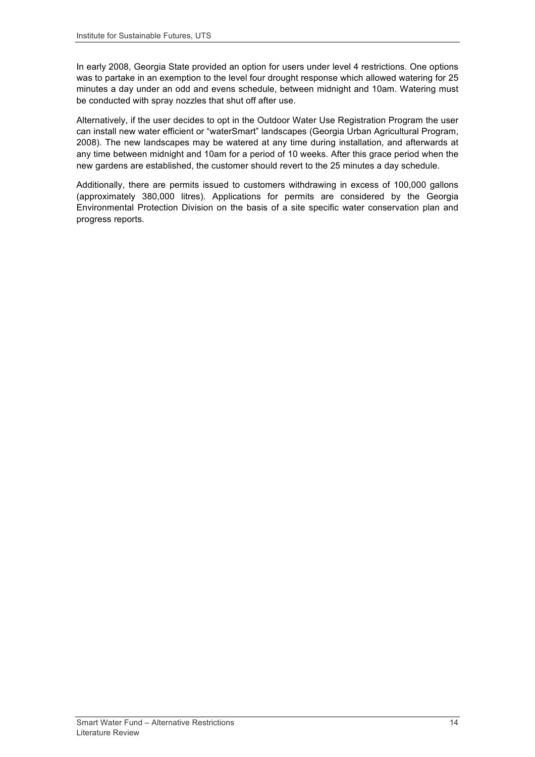In early 2008, Georgia State provided an option for users under level 4 restrictions. One options was to partake in an exemption to the level four drought response which allowed watering for 25 minutes a day under an odd and evens schedule, between midnight and 10am. Watering must be conducted with spray nozzles that shut off after use.

Alternatively, if the user decides to opt in the Outdoor Water Use Registration Program the user can install new water efficient or "waterSmart" landscapes (Georgia Urban Agricultural Program, 2008). The new landscapes may be watered at any time during installation, and afterwards at any time between midnight and 10am for a period of 10 weeks. After this grace period when the new gardens are established, the customer should revert to the 25 minutes a day schedule.

Additionally, there are permits issued to customers withdrawing in excess of 100,000 gallons (approximately 380,000 litres). Applications for permits are considered by the Georgia Environmental Protection Division on the basis of a site specific water conservation plan and progress reports.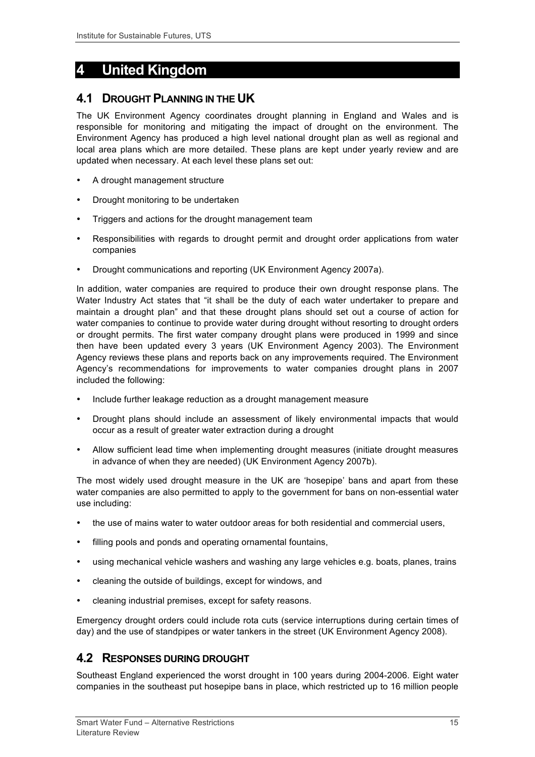# **4 United Kingdom**

## **4.1 DROUGHT PLANNING IN THE UK**

The UK Environment Agency coordinates drought planning in England and Wales and is responsible for monitoring and mitigating the impact of drought on the environment. The Environment Agency has produced a high level national drought plan as well as regional and local area plans which are more detailed. These plans are kept under yearly review and are updated when necessary. At each level these plans set out:

- A drought management structure
- Drought monitoring to be undertaken
- Triggers and actions for the drought management team
- Responsibilities with regards to drought permit and drought order applications from water companies
- Drought communications and reporting (UK Environment Agency 2007a).

In addition, water companies are required to produce their own drought response plans. The Water Industry Act states that "it shall be the duty of each water undertaker to prepare and maintain a drought plan" and that these drought plans should set out a course of action for water companies to continue to provide water during drought without resorting to drought orders or drought permits. The first water company drought plans were produced in 1999 and since then have been updated every 3 years (UK Environment Agency 2003). The Environment Agency reviews these plans and reports back on any improvements required. The Environment Agency's recommendations for improvements to water companies drought plans in 2007 included the following:

- Include further leakage reduction as a drought management measure
- Drought plans should include an assessment of likely environmental impacts that would occur as a result of greater water extraction during a drought
- Allow sufficient lead time when implementing drought measures (initiate drought measures in advance of when they are needed) (UK Environment Agency 2007b).

The most widely used drought measure in the UK are 'hosepipe' bans and apart from these water companies are also permitted to apply to the government for bans on non-essential water use including:

- the use of mains water to water outdoor areas for both residential and commercial users,
- filling pools and ponds and operating ornamental fountains,
- using mechanical vehicle washers and washing any large vehicles e.g. boats, planes, trains
- cleaning the outside of buildings, except for windows, and
- cleaning industrial premises, except for safety reasons.

Emergency drought orders could include rota cuts (service interruptions during certain times of day) and the use of standpipes or water tankers in the street (UK Environment Agency 2008).

## **4.2 RESPONSES DURING DROUGHT**

Southeast England experienced the worst drought in 100 years during 2004-2006. Eight water companies in the southeast put hosepipe bans in place, which restricted up to 16 million people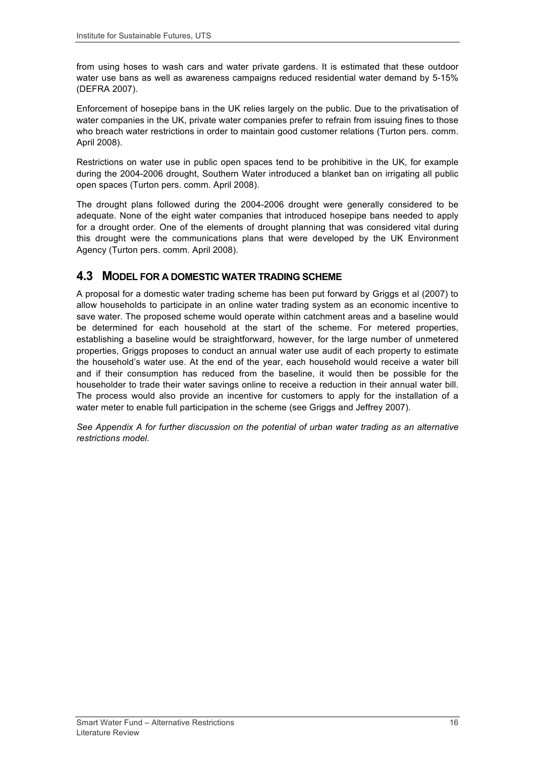from using hoses to wash cars and water private gardens. It is estimated that these outdoor water use bans as well as awareness campaigns reduced residential water demand by 5-15% (DEFRA 2007).

Enforcement of hosepipe bans in the UK relies largely on the public. Due to the privatisation of water companies in the UK, private water companies prefer to refrain from issuing fines to those who breach water restrictions in order to maintain good customer relations (Turton pers. comm. April 2008).

Restrictions on water use in public open spaces tend to be prohibitive in the UK, for example during the 2004-2006 drought, Southern Water introduced a blanket ban on irrigating all public open spaces (Turton pers. comm. April 2008).

The drought plans followed during the 2004-2006 drought were generally considered to be adequate. None of the eight water companies that introduced hosepipe bans needed to apply for a drought order. One of the elements of drought planning that was considered vital during this drought were the communications plans that were developed by the UK Environment Agency (Turton pers. comm. April 2008).

#### **4.3 MODEL FOR A DOMESTIC WATER TRADING SCHEME**

A proposal for a domestic water trading scheme has been put forward by Griggs et al (2007) to allow households to participate in an online water trading system as an economic incentive to save water. The proposed scheme would operate within catchment areas and a baseline would be determined for each household at the start of the scheme. For metered properties, establishing a baseline would be straightforward, however, for the large number of unmetered properties, Griggs proposes to conduct an annual water use audit of each property to estimate the household's water use. At the end of the year, each household would receive a water bill and if their consumption has reduced from the baseline, it would then be possible for the householder to trade their water savings online to receive a reduction in their annual water bill. The process would also provide an incentive for customers to apply for the installation of a water meter to enable full participation in the scheme (see Griggs and Jeffrey 2007).

*See Appendix A for further discussion on the potential of urban water trading as an alternative restrictions model.*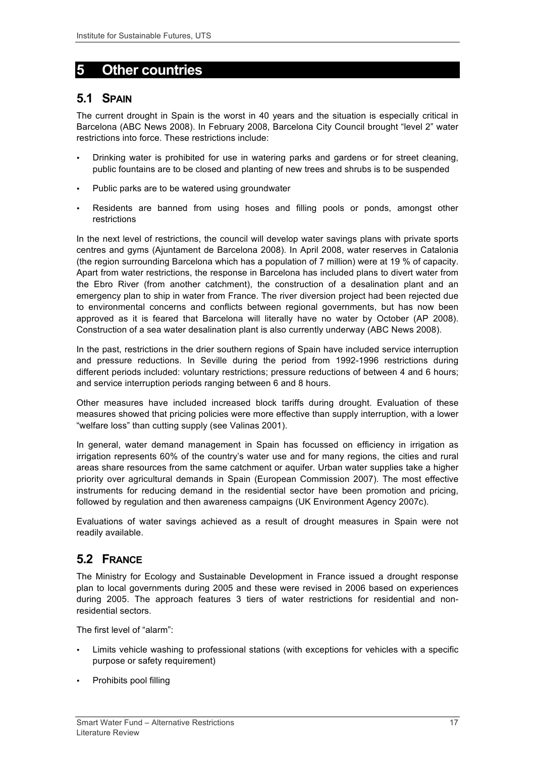# **5 Other countries**

## **5.1 SPAIN**

The current drought in Spain is the worst in 40 years and the situation is especially critical in Barcelona (ABC News 2008). In February 2008, Barcelona City Council brought "level 2" water restrictions into force. These restrictions include:

- Drinking water is prohibited for use in watering parks and gardens or for street cleaning, public fountains are to be closed and planting of new trees and shrubs is to be suspended
- Public parks are to be watered using groundwater
- Residents are banned from using hoses and filling pools or ponds, amongst other restrictions

In the next level of restrictions, the council will develop water savings plans with private sports centres and gyms (Ajuntament de Barcelona 2008). In April 2008, water reserves in Catalonia (the region surrounding Barcelona which has a population of 7 million) were at 19 % of capacity. Apart from water restrictions, the response in Barcelona has included plans to divert water from the Ebro River (from another catchment), the construction of a desalination plant and an emergency plan to ship in water from France. The river diversion project had been rejected due to environmental concerns and conflicts between regional governments, but has now been approved as it is feared that Barcelona will literally have no water by October (AP 2008). Construction of a sea water desalination plant is also currently underway (ABC News 2008).

In the past, restrictions in the drier southern regions of Spain have included service interruption and pressure reductions. In Seville during the period from 1992-1996 restrictions during different periods included: voluntary restrictions; pressure reductions of between 4 and 6 hours; and service interruption periods ranging between 6 and 8 hours.

Other measures have included increased block tariffs during drought. Evaluation of these measures showed that pricing policies were more effective than supply interruption, with a lower "welfare loss" than cutting supply (see Valinas 2001).

In general, water demand management in Spain has focussed on efficiency in irrigation as irrigation represents 60% of the country's water use and for many regions, the cities and rural areas share resources from the same catchment or aquifer. Urban water supplies take a higher priority over agricultural demands in Spain (European Commission 2007). The most effective instruments for reducing demand in the residential sector have been promotion and pricing, followed by regulation and then awareness campaigns (UK Environment Agency 2007c).

Evaluations of water savings achieved as a result of drought measures in Spain were not readily available.

# **5.2 FRANCE**

The Ministry for Ecology and Sustainable Development in France issued a drought response plan to local governments during 2005 and these were revised in 2006 based on experiences during 2005. The approach features 3 tiers of water restrictions for residential and nonresidential sectors.

The first level of "alarm":

- Limits vehicle washing to professional stations (with exceptions for vehicles with a specific purpose or safety requirement)
- Prohibits pool filling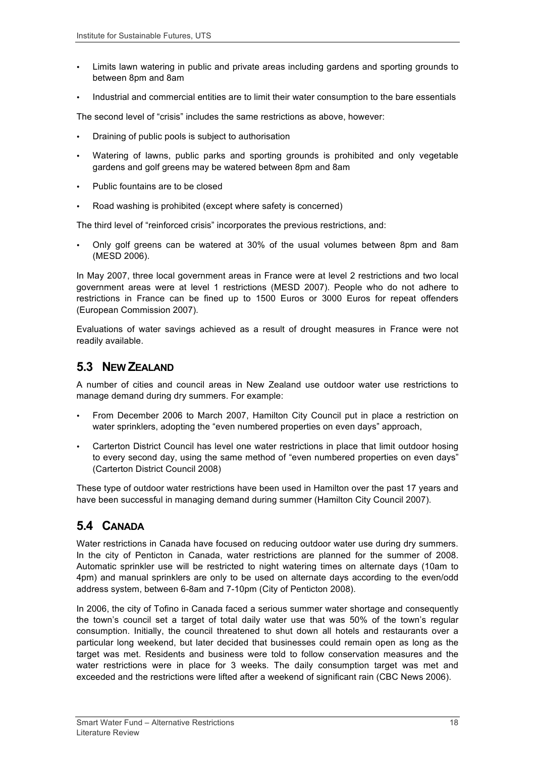- Limits lawn watering in public and private areas including gardens and sporting grounds to between 8pm and 8am
- Industrial and commercial entities are to limit their water consumption to the bare essentials

The second level of "crisis" includes the same restrictions as above, however:

- Draining of public pools is subject to authorisation
- Watering of lawns, public parks and sporting grounds is prohibited and only vegetable gardens and golf greens may be watered between 8pm and 8am
- Public fountains are to be closed
- Road washing is prohibited (except where safety is concerned)

The third level of "reinforced crisis" incorporates the previous restrictions, and:

• Only golf greens can be watered at 30% of the usual volumes between 8pm and 8am (MESD 2006).

In May 2007, three local government areas in France were at level 2 restrictions and two local government areas were at level 1 restrictions (MESD 2007). People who do not adhere to restrictions in France can be fined up to 1500 Euros or 3000 Euros for repeat offenders (European Commission 2007).

Evaluations of water savings achieved as a result of drought measures in France were not readily available.

## **5.3 NEW ZEALAND**

A number of cities and council areas in New Zealand use outdoor water use restrictions to manage demand during dry summers. For example:

- From December 2006 to March 2007, Hamilton City Council put in place a restriction on water sprinklers, adopting the "even numbered properties on even days" approach,
- Carterton District Council has level one water restrictions in place that limit outdoor hosing to every second day, using the same method of "even numbered properties on even days" (Carterton District Council 2008)

These type of outdoor water restrictions have been used in Hamilton over the past 17 years and have been successful in managing demand during summer (Hamilton City Council 2007).

## **5.4 CANADA**

Water restrictions in Canada have focused on reducing outdoor water use during dry summers. In the city of Penticton in Canada, water restrictions are planned for the summer of 2008. Automatic sprinkler use will be restricted to night watering times on alternate days (10am to 4pm) and manual sprinklers are only to be used on alternate days according to the even/odd address system, between 6-8am and 7-10pm (City of Penticton 2008).

In 2006, the city of Tofino in Canada faced a serious summer water shortage and consequently the town's council set a target of total daily water use that was 50% of the town's regular consumption. Initially, the council threatened to shut down all hotels and restaurants over a particular long weekend, but later decided that businesses could remain open as long as the target was met. Residents and business were told to follow conservation measures and the water restrictions were in place for 3 weeks. The daily consumption target was met and exceeded and the restrictions were lifted after a weekend of significant rain (CBC News 2006).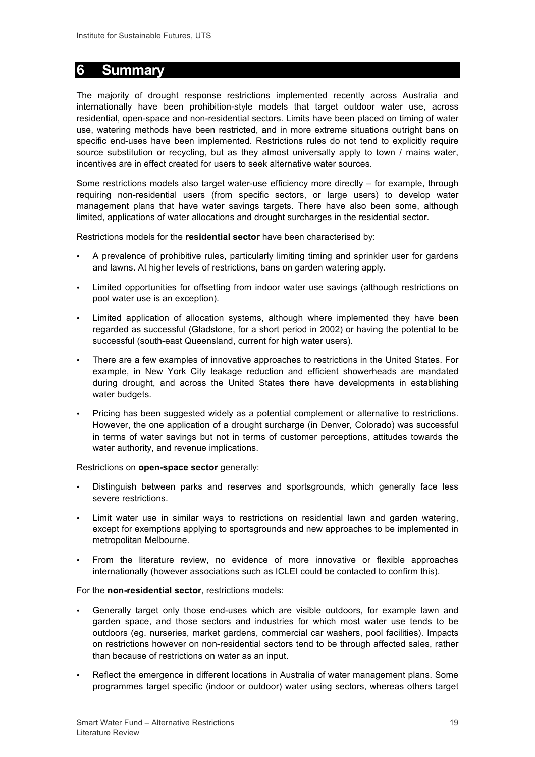# **6 Summary**

The majority of drought response restrictions implemented recently across Australia and internationally have been prohibition-style models that target outdoor water use, across residential, open-space and non-residential sectors. Limits have been placed on timing of water use, watering methods have been restricted, and in more extreme situations outright bans on specific end-uses have been implemented. Restrictions rules do not tend to explicitly require source substitution or recycling, but as they almost universally apply to town / mains water, incentives are in effect created for users to seek alternative water sources.

Some restrictions models also target water-use efficiency more directly – for example, through requiring non-residential users (from specific sectors, or large users) to develop water management plans that have water savings targets. There have also been some, although limited, applications of water allocations and drought surcharges in the residential sector.

Restrictions models for the **residential sector** have been characterised by:

- A prevalence of prohibitive rules, particularly limiting timing and sprinkler user for gardens and lawns. At higher levels of restrictions, bans on garden watering apply.
- Limited opportunities for offsetting from indoor water use savings (although restrictions on pool water use is an exception).
- Limited application of allocation systems, although where implemented they have been regarded as successful (Gladstone, for a short period in 2002) or having the potential to be successful (south-east Queensland, current for high water users).
- There are a few examples of innovative approaches to restrictions in the United States. For example, in New York City leakage reduction and efficient showerheads are mandated during drought, and across the United States there have developments in establishing water budgets.
- Pricing has been suggested widely as a potential complement or alternative to restrictions. However, the one application of a drought surcharge (in Denver, Colorado) was successful in terms of water savings but not in terms of customer perceptions, attitudes towards the water authority, and revenue implications.

Restrictions on **open-space sector** generally:

- Distinguish between parks and reserves and sportsgrounds, which generally face less severe restrictions.
- Limit water use in similar ways to restrictions on residential lawn and garden watering, except for exemptions applying to sportsgrounds and new approaches to be implemented in metropolitan Melbourne.
- From the literature review, no evidence of more innovative or flexible approaches internationally (however associations such as ICLEI could be contacted to confirm this).

For the **non-residential sector**, restrictions models:

- Generally target only those end-uses which are visible outdoors, for example lawn and garden space, and those sectors and industries for which most water use tends to be outdoors (eg. nurseries, market gardens, commercial car washers, pool facilities). Impacts on restrictions however on non-residential sectors tend to be through affected sales, rather than because of restrictions on water as an input.
- Reflect the emergence in different locations in Australia of water management plans. Some programmes target specific (indoor or outdoor) water using sectors, whereas others target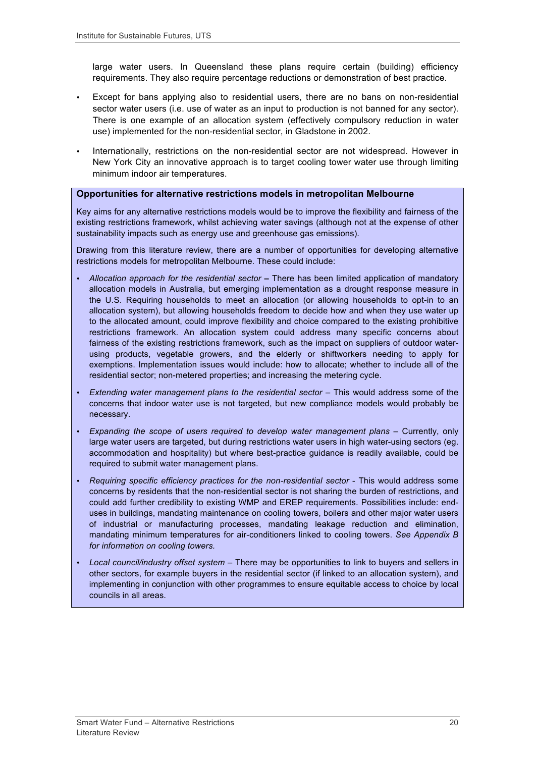large water users. In Queensland these plans require certain (building) efficiency requirements. They also require percentage reductions or demonstration of best practice.

- Except for bans applying also to residential users, there are no bans on non-residential sector water users (i.e. use of water as an input to production is not banned for any sector). There is one example of an allocation system (effectively compulsory reduction in water use) implemented for the non-residential sector, in Gladstone in 2002.
- Internationally, restrictions on the non-residential sector are not widespread. However in New York City an innovative approach is to target cooling tower water use through limiting minimum indoor air temperatures.

#### **Opportunities for alternative restrictions models in metropolitan Melbourne**

Key aims for any alternative restrictions models would be to improve the flexibility and fairness of the existing restrictions framework, whilst achieving water savings (although not at the expense of other sustainability impacts such as energy use and greenhouse gas emissions).

Drawing from this literature review, there are a number of opportunities for developing alternative restrictions models for metropolitan Melbourne. These could include:

- *Allocation approach for the residential sector* **–** There has been limited application of mandatory allocation models in Australia, but emerging implementation as a drought response measure in the U.S. Requiring households to meet an allocation (or allowing households to opt-in to an allocation system), but allowing households freedom to decide how and when they use water up to the allocated amount, could improve flexibility and choice compared to the existing prohibitive restrictions framework. An allocation system could address many specific concerns about fairness of the existing restrictions framework, such as the impact on suppliers of outdoor waterusing products, vegetable growers, and the elderly or shiftworkers needing to apply for exemptions. Implementation issues would include: how to allocate; whether to include all of the residential sector; non-metered properties; and increasing the metering cycle.
- Extending water management plans to the residential sector This would address some of the concerns that indoor water use is not targeted, but new compliance models would probably be necessary.
- *Expanding the scope of users required to develop water management plans* Currently, only large water users are targeted, but during restrictions water users in high water-using sectors (eg. accommodation and hospitality) but where best-practice guidance is readily available, could be required to submit water management plans.
- *Requiring specific efficiency practices for the non-residential sector* This would address some concerns by residents that the non-residential sector is not sharing the burden of restrictions, and could add further credibility to existing WMP and EREP requirements. Possibilities include: enduses in buildings, mandating maintenance on cooling towers, boilers and other major water users of industrial or manufacturing processes, mandating leakage reduction and elimination, mandating minimum temperatures for air-conditioners linked to cooling towers. *See Appendix B for information on cooling towers.*
- *Local council/industry offset system* There may be opportunities to link to buyers and sellers in other sectors, for example buyers in the residential sector (if linked to an allocation system), and implementing in conjunction with other programmes to ensure equitable access to choice by local councils in all areas.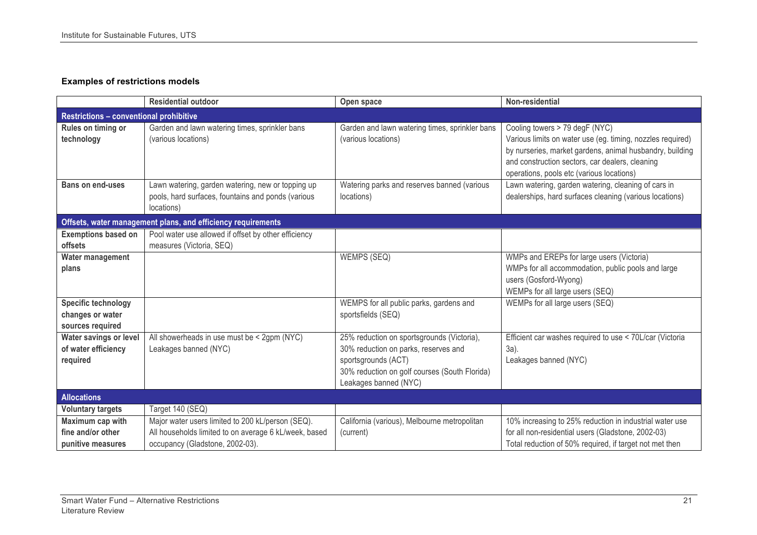#### **Examples of restrictions models**

|                                                | <b>Residential outdoor</b>                                            | Open space                                                            | Non-residential                                                                                                                                          |
|------------------------------------------------|-----------------------------------------------------------------------|-----------------------------------------------------------------------|----------------------------------------------------------------------------------------------------------------------------------------------------------|
| <b>Restrictions - conventional prohibitive</b> |                                                                       |                                                                       |                                                                                                                                                          |
| Rules on timing or<br>technology               | Garden and lawn watering times, sprinkler bans<br>(various locations) | Garden and lawn watering times, sprinkler bans<br>(various locations) | Cooling towers > 79 degF (NYC)<br>Various limits on water use (eg. timing, nozzles required)                                                             |
|                                                |                                                                       |                                                                       | by nurseries, market gardens, animal husbandry, building<br>and construction sectors, car dealers, cleaning<br>operations, pools etc (various locations) |
| <b>Bans on end-uses</b>                        | Lawn watering, garden watering, new or topping up                     | Watering parks and reserves banned (various                           | Lawn watering, garden watering, cleaning of cars in                                                                                                      |
|                                                | pools, hard surfaces, fountains and ponds (various<br>locations)      | locations)                                                            | dealerships, hard surfaces cleaning (various locations)                                                                                                  |
|                                                | Offsets, water management plans, and efficiency requirements          |                                                                       |                                                                                                                                                          |
| <b>Exemptions based on</b>                     | Pool water use allowed if offset by other efficiency                  |                                                                       |                                                                                                                                                          |
| offsets                                        | measures (Victoria, SEQ)                                              |                                                                       |                                                                                                                                                          |
| Water management                               |                                                                       | WEMPS (SEQ)                                                           | WMPs and EREPs for large users (Victoria)                                                                                                                |
| plans                                          |                                                                       |                                                                       | WMPs for all accommodation, public pools and large                                                                                                       |
|                                                |                                                                       |                                                                       | users (Gosford-Wyong)                                                                                                                                    |
|                                                |                                                                       |                                                                       | WEMPs for all large users (SEQ)                                                                                                                          |
| <b>Specific technology</b>                     |                                                                       | WEMPS for all public parks, gardens and                               | WEMPs for all large users (SEQ)                                                                                                                          |
| changes or water<br>sources required           |                                                                       | sportsfields (SEQ)                                                    |                                                                                                                                                          |
| Water savings or level                         | All showerheads in use must be < 2gpm (NYC)                           | 25% reduction on sportsgrounds (Victoria),                            | Efficient car washes required to use < 70L/car (Victoria                                                                                                 |
| of water efficiency                            | Leakages banned (NYC)                                                 | 30% reduction on parks, reserves and                                  | 3a).                                                                                                                                                     |
| required                                       |                                                                       | sportsgrounds (ACT)                                                   | Leakages banned (NYC)                                                                                                                                    |
|                                                |                                                                       | 30% reduction on golf courses (South Florida)                         |                                                                                                                                                          |
|                                                |                                                                       | Leakages banned (NYC)                                                 |                                                                                                                                                          |
| <b>Allocations</b>                             |                                                                       |                                                                       |                                                                                                                                                          |
| <b>Voluntary targets</b>                       | Target 140 (SEQ)                                                      |                                                                       |                                                                                                                                                          |
| Maximum cap with                               | Major water users limited to 200 kL/person (SEQ).                     | California (various), Melbourne metropolitan                          | 10% increasing to 25% reduction in industrial water use                                                                                                  |
| fine and/or other                              | All households limited to on average 6 kL/week, based                 | (current)                                                             | for all non-residential users (Gladstone, 2002-03)                                                                                                       |
| punitive measures                              | occupancy (Gladstone, 2002-03).                                       |                                                                       | Total reduction of 50% required, if target not met then                                                                                                  |